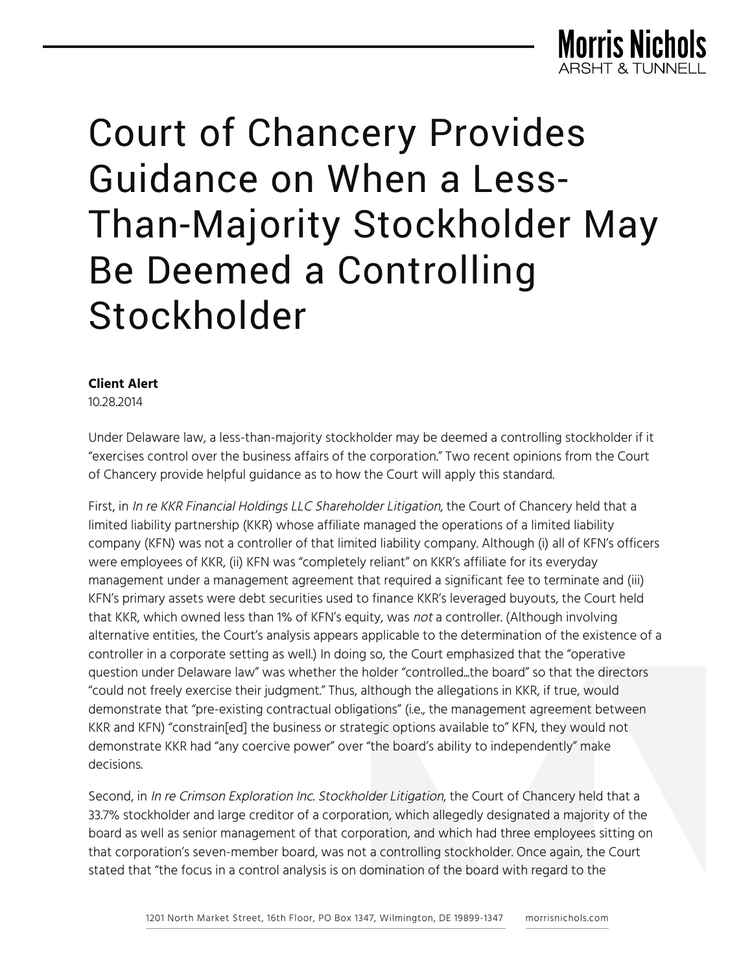

## Court of Chancery Provides Guidance on When a Less-Than-Majority Stockholder May Be Deemed a Controlling Stockholder

## **Client Alert**

10.28.2014

Under Delaware law, a less-than-majority stockholder may be deemed a controlling stockholder if it "exercises control over the business affairs of the corporation." Two recent opinions from the Court of Chancery provide helpful guidance as to how the Court will apply this standard.

First, in In re KKR Financial Holdings LLC Shareholder Litigation, the Court of Chancery held that a limited liability partnership (KKR) whose affiliate managed the operations of a limited liability company (KFN) was not a controller of that limited liability company. Although (i) all of KFN's officers were employees of KKR, (ii) KFN was "completely reliant" on KKR's affiliate for its everyday management under a management agreement that required a significant fee to terminate and (iii) KFN's primary assets were debt securities used to finance KKR's leveraged buyouts, the Court held that KKR, which owned less than 1% of KFN's equity, was not a controller. (Although involving alternative entities, the Court's analysis appears applicable to the determination of the existence of a controller in a corporate setting as well.) In doing so, the Court emphasized that the "operative question under Delaware law" was whether the holder "controlled...the board" so that the directors "could not freely exercise their judgment." Thus, although the allegations in KKR, if true, would demonstrate that "pre-existing contractual obligations" (i.e., the management agreement between KKR and KFN) "constrain[ed] the business or strategic options available to" KFN, they would not demonstrate KKR had "any coercive power" over "the board's ability to independently" make decisions.

Second, in In re Crimson Exploration Inc. Stockholder Litigation, the Court of Chancery held that a 33.7% stockholder and large creditor of a corporation, which allegedly designated a majority of the board as well as senior management of that corporation, and which had three employees sitting on that corporation's seven-member board, was not a controlling stockholder. Once again, the Court stated that "the focus in a control analysis is on domination of the board with regard to the